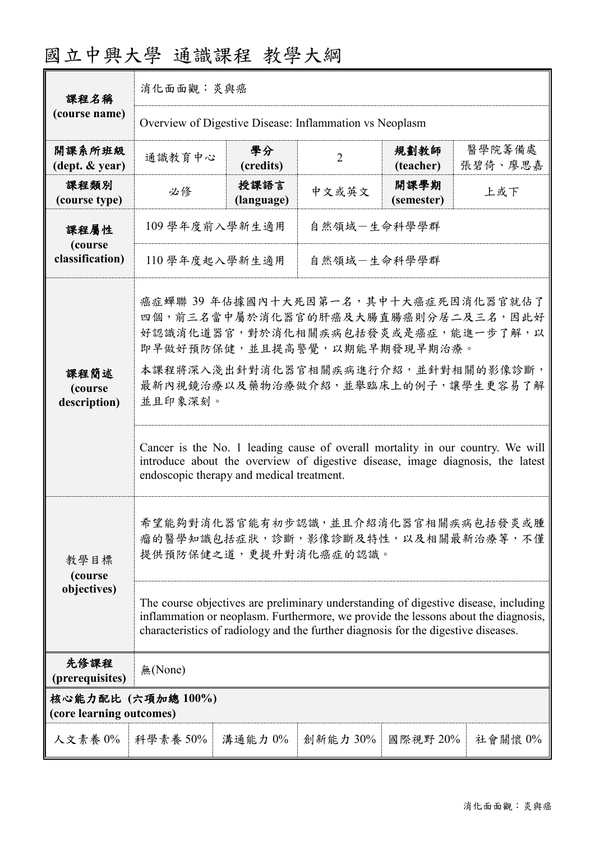| 課程名稱                                          | 消化面面觀:炎與癌                                                                                                                                                                                                                                                       |                    |                |                    |                   |  |
|-----------------------------------------------|-----------------------------------------------------------------------------------------------------------------------------------------------------------------------------------------------------------------------------------------------------------------|--------------------|----------------|--------------------|-------------------|--|
| (course name)                                 | Overview of Digestive Disease: Inflammation vs Neoplasm                                                                                                                                                                                                         |                    |                |                    |                   |  |
| 開課系所班級<br>(dept. & year)                      | 通識教育中心                                                                                                                                                                                                                                                          | 學分<br>(credits)    | $\overline{2}$ | 規劃教師<br>(teacher)  | 醫學院籌備處<br>張碧倚、廖思嘉 |  |
| 課程類別<br>(course type)                         | 必修                                                                                                                                                                                                                                                              | 授課語言<br>(language) | 中文或英文          | 開課學期<br>(semester) | 上或下               |  |
| 課程屬性<br>(course<br>classification)            | 自然領域一生命科學學群<br>109 學年度前入學新生適用                                                                                                                                                                                                                                   |                    |                |                    |                   |  |
|                                               | 110 學年度起入學新生適用<br>自然領域-生命科學學群                                                                                                                                                                                                                                   |                    |                |                    |                   |  |
| 課程簡述<br>(course<br>description)               | 癌症蟬聯 39年佔據國內十大死因第一名,其中十大癌症死因消化器官就佔了<br>四個, 前三名當中屬於消化器官的肝癌及大腸直腸癌則分居二及三名, 因此好<br>好認識消化道器官,對於消化相關疾病包括發炎或是癌症,能進一步了解,以<br>即早做好預防保健,並且提高警覺,以期能早期發現早期治療。<br>本課程將深入淺出針對消化器官相關疾病進行介紹,並針對相關的影像診斷,<br>最新內視鏡治療以及藥物治療做介紹,並舉臨床上的例子,讓學生更容易了解<br>並且印象深刻。                        |                    |                |                    |                   |  |
|                                               | Cancer is the No. 1 leading cause of overall mortality in our country. We will<br>introduce about the overview of digestive disease, image diagnosis, the latest<br>endoscopic therapy and medical treatment.                                                   |                    |                |                    |                   |  |
| 教學目標<br>(course                               | 希望能夠對消化器官能有初步認識,並且介紹消化器官相關疾病包括發炎或腫<br>瘤的醫學知識包括症狀,診斷,影像診斷及特性,以及相關最新治療等,不僅<br>提供預防保健之道,更提升對消化癌症的認識。                                                                                                                                                               |                    |                |                    |                   |  |
| objectives)                                   | The course objectives are preliminary understanding of digestive disease, including<br>inflammation or neoplasm. Furthermore, we provide the lessons about the diagnosis,<br>characteristics of radiology and the further diagnosis for the digestive diseases. |                    |                |                    |                   |  |
| 先修課程<br>(prerequisites)                       | 無(None)                                                                                                                                                                                                                                                         |                    |                |                    |                   |  |
| 核心能力配比 (六項加總100%)<br>(core learning outcomes) |                                                                                                                                                                                                                                                                 |                    |                |                    |                   |  |
|                                               | 人文素養 0%   科學素養 50%                                                                                                                                                                                                                                              | 溝通能力 0%            | 創新能力 30%       | 國際視野 20%           | 社會關懷 0%           |  |

## 國立中興大學 通識課程 教學大綱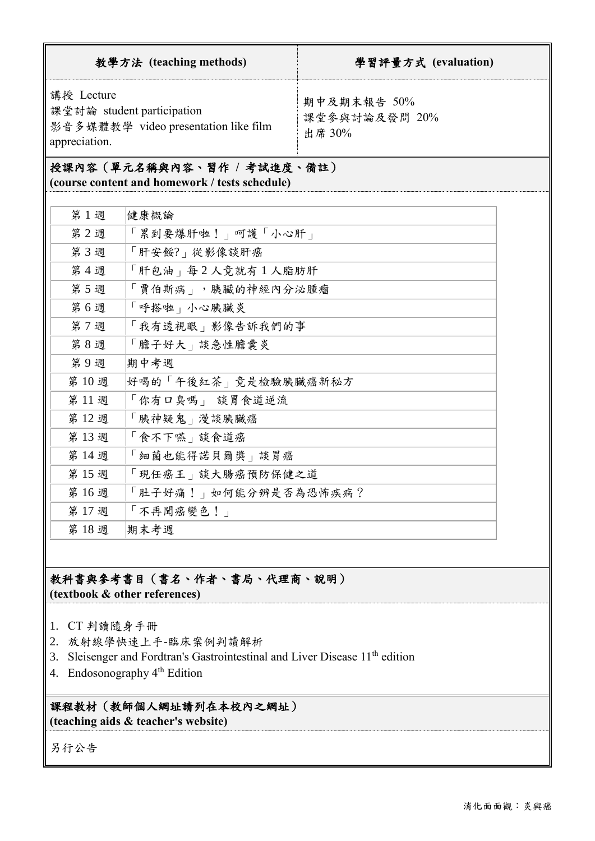| 教學方法 (teaching methods)                                                                           | 學習評量方式 (evaluation)                    |
|---------------------------------------------------------------------------------------------------|----------------------------------------|
| 講授 Lecture<br>課堂討論 student participation<br>影音多媒體教學 video presentation like film<br>appreciation. | 期中及期末報告 50%<br>課堂參與討論及發問 20%<br>出席 30% |

### 授課內容(單元名稱與內容、習作 **/** 考試進度、備註)

**(course content and homework / tests schedule)**

| 第1週  | 健康概論                         |
|------|------------------------------|
| 第2週  | 「累到要爆肝啦!」呵護「小心肝」             |
| 第3週  | 「肝安餒?」從影像談肝癌                 |
| 第4週  | 「肝包油」每2人竟就有1人脂肪肝             |
| 第5週  | 「賈伯斯病」,胰臟的神經內分泌腫瘤            |
| 第6週  | 「呼搭啦」小心胰臟炎                   |
| 第7週  | 「我有透視眼」影像告訴我們的事              |
| 第8週  | 「膽子好大」談急性膽囊炎                 |
| 第9週  | 期中考週                         |
| 第10週 | 好喝的「午後紅茶」竟是檢驗胰臟癌新秘方          |
| 第11週 | 「你有口臭嗎」 談胃食道逆流               |
| 第12週 | 「胰神疑鬼」漫談胰臟癌                  |
| 第13週 | 「食不下嚥」談食道癌                   |
| 第14週 | <sup>1</sup> 細菌也能得諾貝爾獎   談胃癌 |
| 第15週 | 現任癌王   談大腸癌預防保健之道            |
| 第16週 | 「肚子好痛!」如何能分辨是否為恐怖疾病?         |
| 第17週 | 「不再聞癌變色!」                    |
| 第18週 | 期末考週                         |

## 教科書與參考書目(書名、作者、書局、代理商、說明)

**(textbook & other references)**

- 1. CT 判讀隨身手冊
- 2. 放射線學快速上手-臨床案例判讀解[析](https://www.leaderbook.com.tw/book.php?cat=28&id=12097)
- 3. Sleisenger and Fordtran's Gastrointestinal and Liver Disease  $11<sup>th</sup>$  edition
- 4. Endosonography 4th Edition

# 課程教材(教師個人網址請列在本校內之網址)

**(teaching aids & teacher's website)**

另行公告